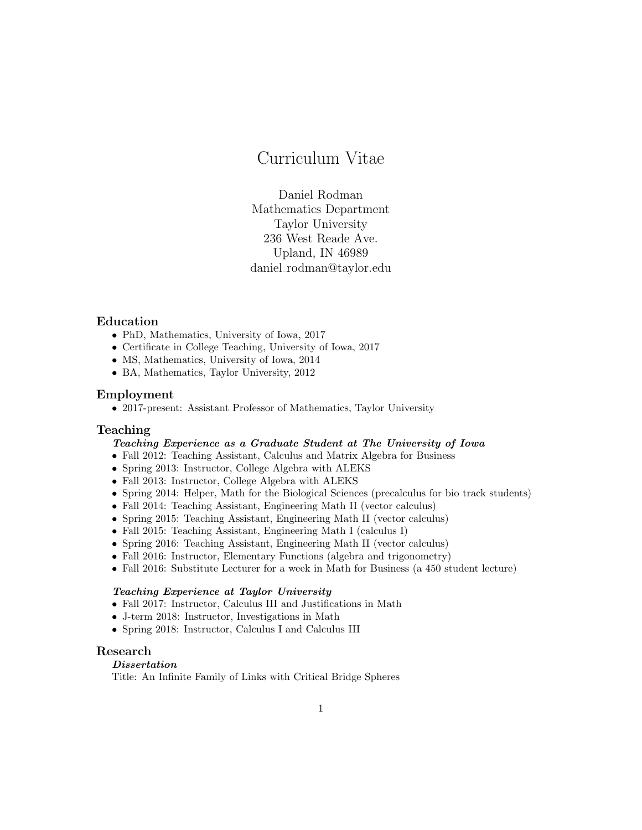# Curriculum Vitae

Daniel Rodman Mathematics Department Taylor University 236 West Reade Ave. Upland, IN 46989 daniel rodman@taylor.edu

# Education

- PhD, Mathematics, University of Iowa, 2017
- Certificate in College Teaching, University of Iowa, 2017
- MS, Mathematics, University of Iowa, 2014
- BA, Mathematics, Taylor University, 2012

## Employment

• 2017-present: Assistant Professor of Mathematics, Taylor University

## Teaching

# Teaching Experience as a Graduate Student at The University of Iowa

- Fall 2012: Teaching Assistant, Calculus and Matrix Algebra for Business
- Spring 2013: Instructor, College Algebra with ALEKS
- Fall 2013: Instructor, College Algebra with ALEKS
- Spring 2014: Helper, Math for the Biological Sciences (precalculus for bio track students)
- Fall 2014: Teaching Assistant, Engineering Math II (vector calculus)
- Spring 2015: Teaching Assistant, Engineering Math II (vector calculus)
- Fall 2015: Teaching Assistant, Engineering Math I (calculus I)
- Spring 2016: Teaching Assistant, Engineering Math II (vector calculus)
- Fall 2016: Instructor, Elementary Functions (algebra and trigonometry)
- Fall 2016: Substitute Lecturer for a week in Math for Business (a 450 student lecture)

#### Teaching Experience at Taylor University

- Fall 2017: Instructor, Calculus III and Justifications in Math
- J-term 2018: Instructor, Investigations in Math
- Spring 2018: Instructor, Calculus I and Calculus III

# Research

## Dissertation

Title: An Infinite Family of Links with Critical Bridge Spheres